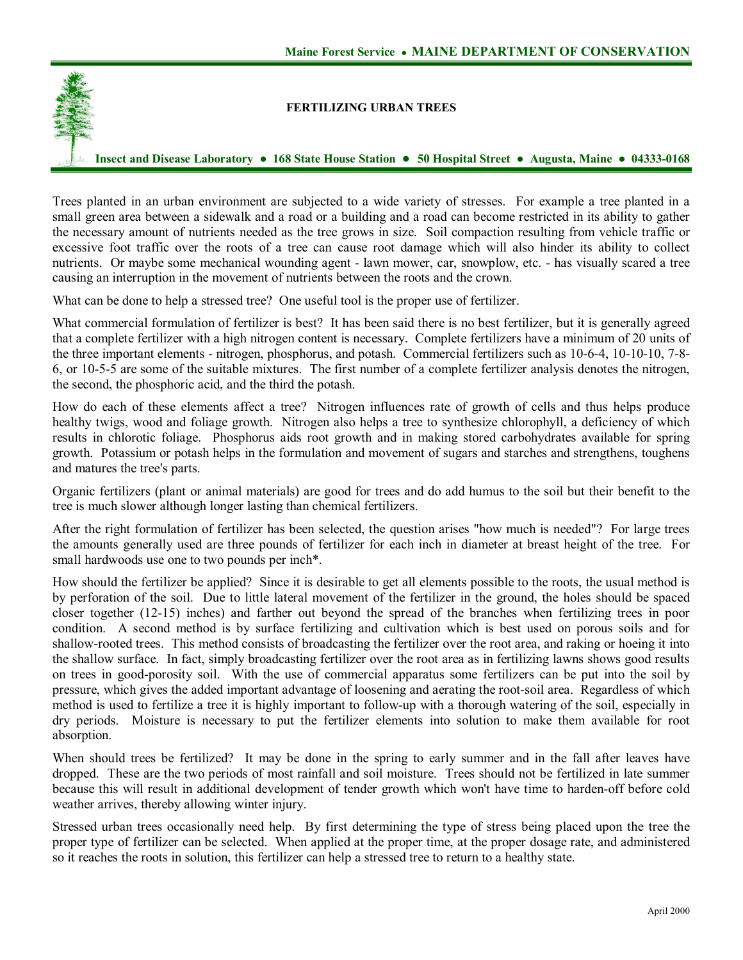

## **FERTILIZING URBAN TREES**

Insect and Disease Laboratory • 168 State House Station • 50 Hospital Street • Augusta, Maine • 04333-0168

Trees planted in an urban environment are subjected to a wide variety of stresses. For example a tree planted in a small green area between a sidewalk and a road or a building and a road can become restricted in its ability to gather the necessary amount of nutrients needed as the tree grows in size. Soil compaction resulting from vehicle traffic or excessive foot traffic over the roots of a tree can cause root damage which will also hinder its ability to collect nutrients. Or maybe some mechanical wounding agent - lawn mower, car, snowplow, etc. - has visually scared a tree causing an interruption in the movement of nutrients between the roots and the crown.

What can be done to help a stressed tree? One useful tool is the proper use of fertilizer.

What commercial formulation of fertilizer is best? It has been said there is no best fertilizer, but it is generally agreed that a complete fertilizer with a high nitrogen content is necessary. Complete fertilizers have a minimum of 20 units of the three important elements - nitrogen, phosphorus, and potash. Commercial fertilizers such as 10-6-4, 10-10-10, 7-8-6, or 1055 are some of the suitable mixtures. The first number of a complete fertilizer analysis denotes the nitrogen, the second, the phosphoric acid, and the third the potash.

How do each of these elements affect a tree? Nitrogen influences rate of growth of cells and thus helps produce healthy twigs, wood and foliage growth. Nitrogen also helps a tree to synthesize chlorophyll, a deficiency of which results in chlorotic foliage. Phosphorus aids root growth and in making stored carbohydrates available for spring growth. Potassium or potash helps in the formulation and movement of sugars and starches and strengthens, toughens and matures the tree's parts.

Organic fertilizers (plant or animal materials) are good for trees and do add humus to the soil but their benefit to the tree is much slower although longer lasting than chemical fertilizers.

After the right formulation of fertilizer has been selected, the question arises "how much is needed"? For large trees the amounts generally used are three pounds of fertilizer for each inch in diameter at breast height of the tree. For small hardwoods use one to two pounds per inch\*.

How should the fertilizer be applied? Since it is desirable to get all elements possible to the roots, the usual method is by perforation of the soil. Due to little lateral movement of the fertilizer in the ground, the holes should be spaced closer together (1215) inches) and farther out beyond the spread of the branches when fertilizing trees in poor condition. A second method is by surface fertilizing and cultivation which is best used on porous soils and for shallow-rooted trees. This method consists of broadcasting the fertilizer over the root area, and raking or hoeing it into the shallow surface. In fact, simply broadcasting fertilizer over the root area as in fertilizing lawns shows good results on trees in good-porosity soil. With the use of commercial apparatus some fertilizers can be put into the soil by pressure, which gives the added important advantage of loosening and aerating the root-soil area. Regardless of which method is used to fertilize a tree it is highly important to followup with a thorough watering of the soil, especially in dry periods. Moisture is necessary to put the fertilizer elements into solution to make them available for root absorption.

When should trees be fertilized? It may be done in the spring to early summer and in the fall after leaves have dropped. These are the two periods of most rainfall and soil moisture. Trees should not be fertilized in late summer because this will result in additional development of tender growth which won't have time to harden-off before cold weather arrives, thereby allowing winter injury.

Stressed urban trees occasionally need help. By first determining the type of stress being placed upon the tree the proper type of fertilizer can be selected. When applied at the proper time, at the proper dosage rate, and administered so it reaches the roots in solution, this fertilizer can help a stressed tree to return to a healthy state.